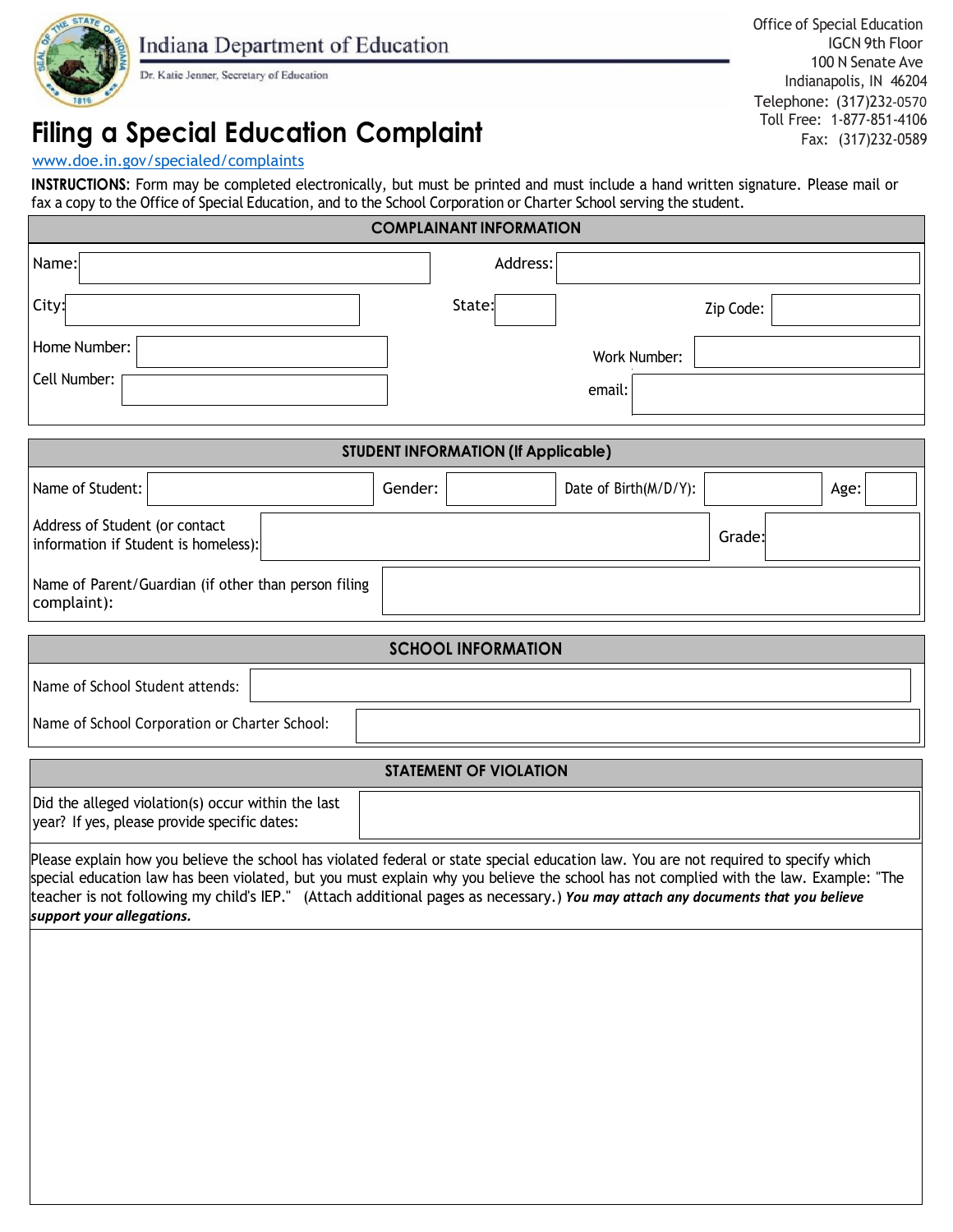

Dr. Katie Jenner, Secretary of Education

Office of Special Education Indianapolis, IN 46204 Telephone: (317)232-0570 Toll Free: 1-877-851-4106 Fax: (317)232-0589 IGCN 9th Floor 100 N Senate Ave

### **Filing a Special Education Complaint**

#### [www.doe.in.gov/specialed/complaints](http://www.doe.in.gov/specialed/complaints)

**INSTRUCTIONS:** Form may be completed electronically, but must be printed and must include a hand written signature. Please mail or fax a copy to the Office of Special Education, and to the School Corporation or Charter School serving the student.

| <b>COMPLAINANT INFORMATION</b>                                         |                                          |  |
|------------------------------------------------------------------------|------------------------------------------|--|
| Name:                                                                  | Address:                                 |  |
| City:                                                                  | State:<br>Zip Code:                      |  |
| Home Number:                                                           | Work Number:                             |  |
| Cell Number:                                                           | email:                                   |  |
|                                                                        |                                          |  |
| <b>STUDENT INFORMATION (If Applicable)</b>                             |                                          |  |
| Name of Student:                                                       | Gender:<br>Date of Birth(M/D/Y):<br>Age: |  |
| Address of Student (or contact<br>information if Student is homeless): | Grade:                                   |  |
| Name of Parent/Guardian (if other than person filing<br>complaint):    |                                          |  |

## Name of School Student attends: Name of School Corporation or Charter School: **SCHOOL INFORMATION**

# **STATEMENT OF VIOLATION** Did the alleged violation(s) occur within the last year? If yes, please provide specific dates: Please explain how you believe the school has violated federal or state special education law. You are not required to specify which special education law has been violated, but you must explain why you believe the school has not complied with the law. Example: "The teacher is not following my child's IEP." (Attach additional pages as necessary.) *You may attach any documents that you believe support your allegations.*